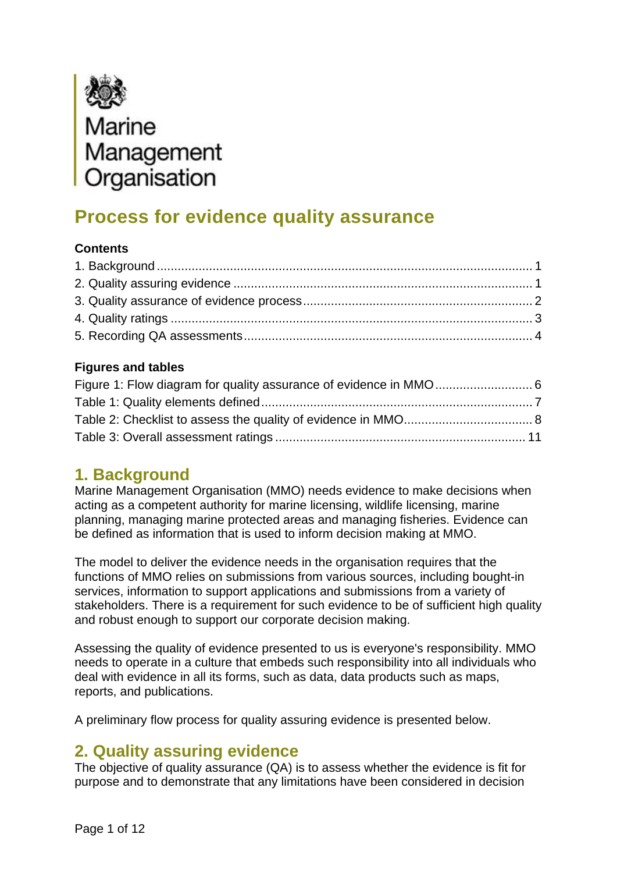<span id="page-0-0"></span>

# **Process for evidence quality assurance**

#### **Contents**

#### **Figures and tables**

### **1. Background**

Marine Management Organisation (MMO) needs evidence to make decisions when acting as a competent authority for marine licensing, wildlife licensing, marine planning, managing marine protected areas and managing fisheries. Evidence can be defined as information that is used to inform decision making at MMO.

The model to deliver the evidence needs in the organisation requires that the functions of MMO relies on submissions from various sources, including bought-in services, information to support applications and submissions from a variety of stakeholders. There is a requirement for such evidence to be of sufficient high quality and robust enough to support our corporate decision making.

Assessing the quality of evidence presented to us is everyone's responsibility. MMO needs to operate in a culture that embeds such responsibility into all individuals who deal with evidence in all its forms, such as data, data products such as maps, reports, and publications.

A preliminary flow process for quality assuring evidence is presented below.

## **2. Quality assuring evidence**

The objective of quality assurance (QA) is to assess whether the evidence is fit for purpose and to demonstrate that any limitations have been considered in decision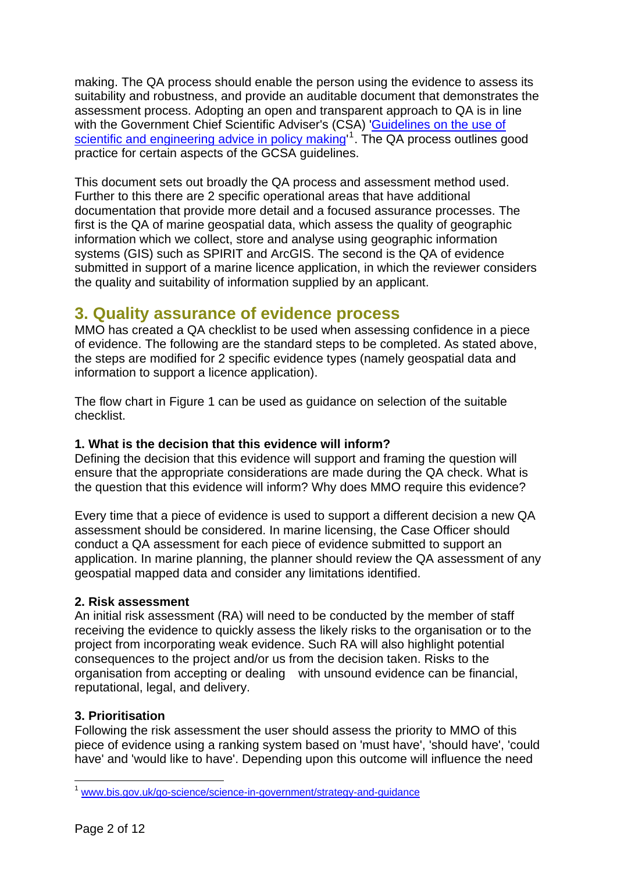<span id="page-1-0"></span>making. The QA process should enable the person using the evidence to assess its suitability and robustness, and provide an auditable document that demonstrates the assessment process. Adopting an open and transparent approach to QA is in line with the Government Chief Scientific Adviser's (CSA) '[Guidelines on the use of](http://www.bis.gov.uk/go-science/science-in-government/strategy-and-guidance)  [scientific and engineering advice in policy making](http://www.bis.gov.uk/go-science/science-in-government/strategy-and-guidance)<sup>[1](#page-1-1)</sup>. The QA process outlines good practice for certain aspects of the GCSA guidelines.

This document sets out broadly the QA process and assessment method used. Further to this there are 2 specific operational areas that have additional documentation that provide more detail and a focused assurance processes. The first is the QA of marine geospatial data, which assess the quality of geographic information which we collect, store and analyse using geographic information systems (GIS) such as SPIRIT and ArcGIS. The second is the QA of evidence submitted in support of a marine licence application, in which the reviewer considers the quality and suitability of information supplied by an applicant.

### **3. Quality assurance of evidence process**

MMO has created a QA checklist to be used when assessing confidence in a piece of evidence. The following are the standard steps to be completed. As stated above, the steps are modified for 2 specific evidence types (namely geospatial data and information to support a licence application).

The flow chart in Figure 1 can be used as guidance on selection of the suitable checklist.

#### **1. What is the decision that this evidence will inform?**

Defining the decision that this evidence will support and framing the question will ensure that the appropriate considerations are made during the QA check. What is the question that this evidence will inform? Why does MMO require this evidence?

Every time that a piece of evidence is used to support a different decision a new QA assessment should be considered. In marine licensing, the Case Officer should conduct a QA assessment for each piece of evidence submitted to support an application. In marine planning, the planner should review the QA assessment of any geospatial mapped data and consider any limitations identified.

#### **2. Risk assessment**

An initial risk assessment (RA) will need to be conducted by the member of staff receiving the evidence to quickly assess the likely risks to the organisation or to the project from incorporating weak evidence. Such RA will also highlight potential consequences to the project and/or us from the decision taken. Risks to the organisation from accepting or dealing with unsound evidence can be financial, reputational, legal, and delivery.

#### **3. Prioritisation**

Following the risk assessment the user should assess the priority to MMO of this piece of evidence using a ranking system based on 'must have', 'should have', 'could have' and 'would like to have'. Depending upon this outcome will influence the need

1

<span id="page-1-1"></span><sup>&</sup>lt;sup>1</sup> www.bis.gov.uk/go-science/science-in-government/strategy-and-guidance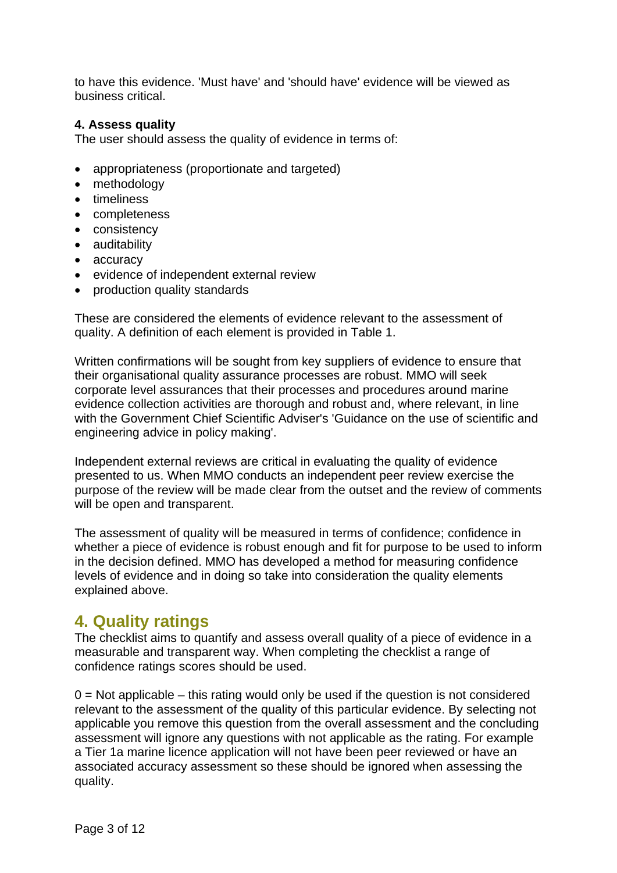<span id="page-2-0"></span>to have this evidence. 'Must have' and 'should have' evidence will be viewed as business critical.

#### **4. Assess quality**

The user should assess the quality of evidence in terms of:

- appropriateness (proportionate and targeted)
- methodology
- timeliness
- completeness
- consistency
- auditability
- accuracy
- evidence of independent external review
- production quality standards

These are considered the elements of evidence relevant to the assessment of quality. A definition of each element is provided in Table 1.

Written confirmations will be sought from key suppliers of evidence to ensure that their organisational quality assurance processes are robust. MMO will seek corporate level assurances that their processes and procedures around marine evidence collection activities are thorough and robust and, where relevant, in line with the Government Chief Scientific Adviser's 'Guidance on the use of scientific and engineering advice in policy making'.

Independent external reviews are critical in evaluating the quality of evidence presented to us. When MMO conducts an independent peer review exercise the purpose of the review will be made clear from the outset and the review of comments will be open and transparent.

The assessment of quality will be measured in terms of confidence; confidence in whether a piece of evidence is robust enough and fit for purpose to be used to inform in the decision defined. MMO has developed a method for measuring confidence levels of evidence and in doing so take into consideration the quality elements explained above.

### **4. Quality ratings**

The checklist aims to quantify and assess overall quality of a piece of evidence in a measurable and transparent way. When completing the checklist a range of confidence ratings scores should be used.

 $0 =$  Not applicable – this rating would only be used if the question is not considered relevant to the assessment of the quality of this particular evidence. By selecting not applicable you remove this question from the overall assessment and the concluding assessment will ignore any questions with not applicable as the rating. For example a Tier 1a marine licence application will not have been peer reviewed or have an associated accuracy assessment so these should be ignored when assessing the quality.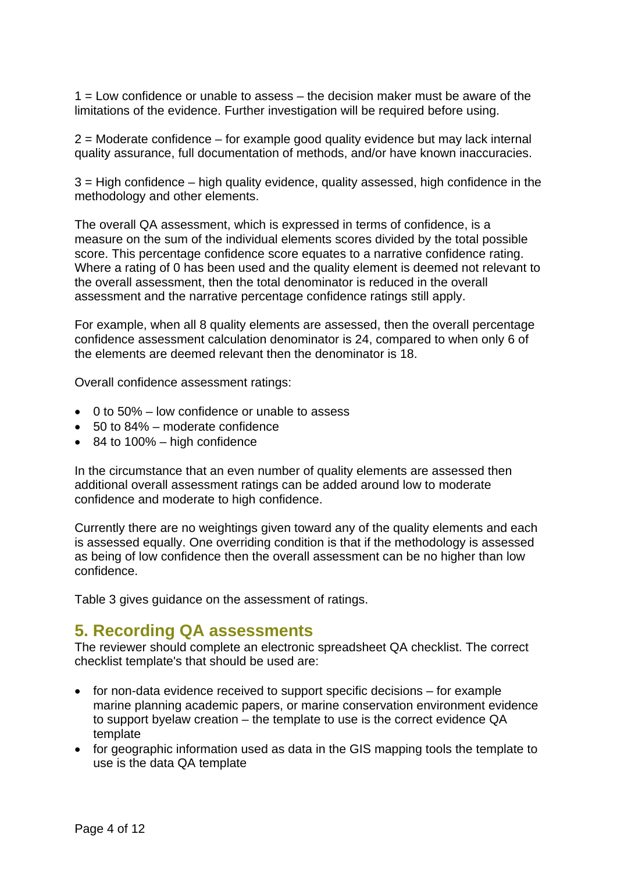<span id="page-3-0"></span> $1 =$  Low confidence or unable to assess  $-$  the decision maker must be aware of the limitations of the evidence. Further investigation will be required before using.

2 = Moderate confidence – for example good quality evidence but may lack internal quality assurance, full documentation of methods, and/or have known inaccuracies.

3 = High confidence – high quality evidence, quality assessed, high confidence in the methodology and other elements.

The overall QA assessment, which is expressed in terms of confidence, is a measure on the sum of the individual elements scores divided by the total possible score. This percentage confidence score equates to a narrative confidence rating. Where a rating of 0 has been used and the quality element is deemed not relevant to the overall assessment, then the total denominator is reduced in the overall assessment and the narrative percentage confidence ratings still apply.

For example, when all 8 quality elements are assessed, then the overall percentage confidence assessment calculation denominator is 24, compared to when only 6 of the elements are deemed relevant then the denominator is 18.

Overall confidence assessment ratings:

- $\bullet$  0 to 50% low confidence or unable to assess
- • 50 to 84% moderate confidence
- $\bullet$  84 to 100% high confidence

In the circumstance that an even number of quality elements are assessed then additional overall assessment ratings can be added around low to moderate confidence and moderate to high confidence.

Currently there are no weightings given toward any of the quality elements and each is assessed equally. One overriding condition is that if the methodology is assessed as being of low confidence then the overall assessment can be no higher than low confidence.

Table 3 gives guidance on the assessment of ratings.

### **5. Recording QA assessments**

The reviewer should complete an electronic spreadsheet QA checklist. The correct checklist template's that should be used are:

- $\bullet$  for non-data evidence received to support specific decisions  $-$  for example marine planning academic papers, or marine conservation environment evidence to support byelaw creation – the template to use is the correct evidence QA template
- for geographic information used as data in the GIS mapping tools the template to use is the data QA template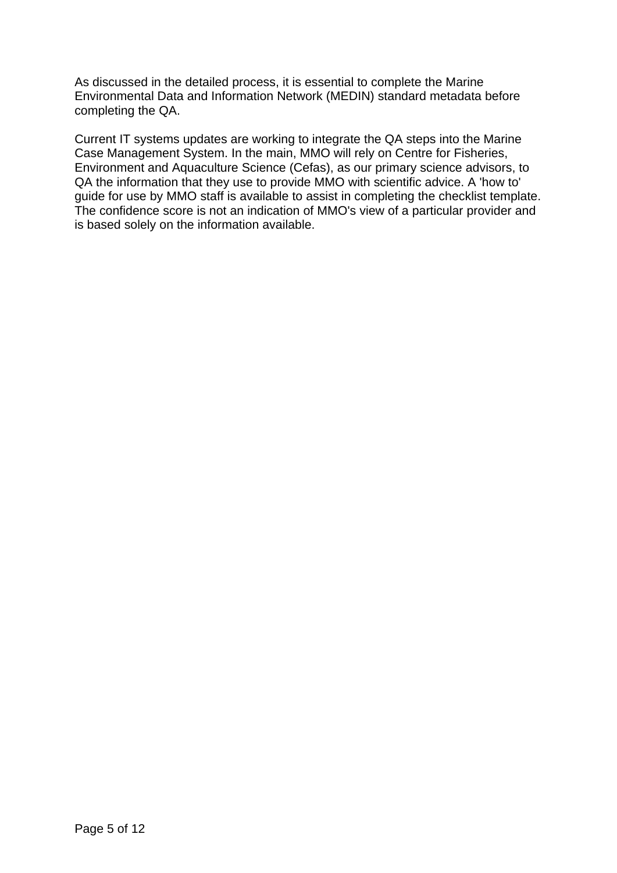As discussed in the detailed process, it is essential to complete the Marine Environmental Data and Information Network (MEDIN) standard metadata before completing the QA.

Current IT systems updates are working to integrate the QA steps into the Marine Case Management System. In the main, MMO will rely on Centre for Fisheries, Environment and Aquaculture Science (Cefas), as our primary science advisors, to QA the information that they use to provide MMO with scientific advice. A 'how to' guide for use by MMO staff is available to assist in completing the checklist template. The confidence score is not an indication of MMO's view of a particular provider and is based solely on the information available.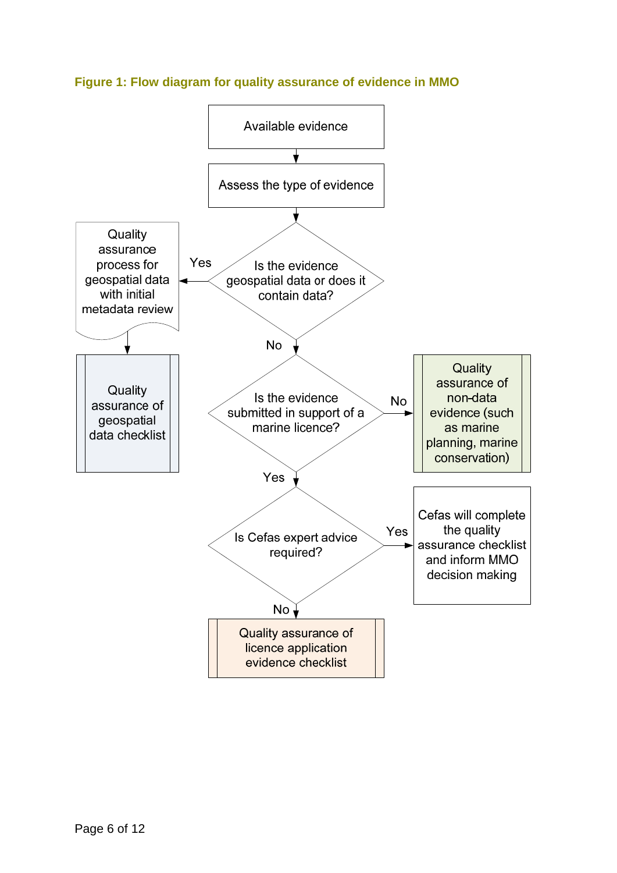

#### <span id="page-5-0"></span>**Figure 1: Flow diagram for quality assurance of evidence in MMO**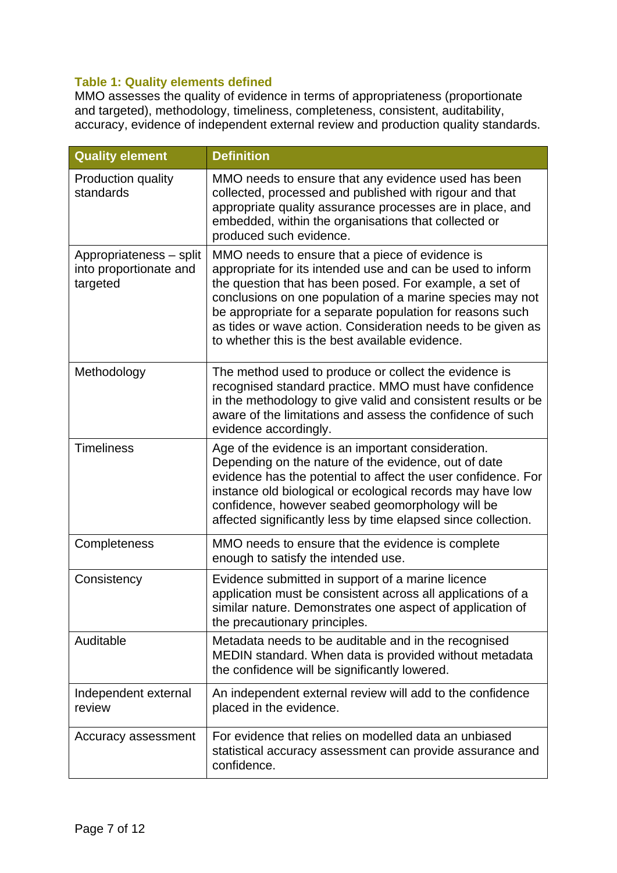#### <span id="page-6-0"></span>**Table 1: Quality elements defined**

MMO assesses the quality of evidence in terms of appropriateness (proportionate and targeted), methodology, timeliness, completeness, consistent, auditability, accuracy, evidence of independent external review and production quality standards.

| <b>Quality element</b>                                        | <b>Definition</b>                                                                                                                                                                                                                                                                                                                                                                                                    |
|---------------------------------------------------------------|----------------------------------------------------------------------------------------------------------------------------------------------------------------------------------------------------------------------------------------------------------------------------------------------------------------------------------------------------------------------------------------------------------------------|
| Production quality<br>standards                               | MMO needs to ensure that any evidence used has been<br>collected, processed and published with rigour and that<br>appropriate quality assurance processes are in place, and<br>embedded, within the organisations that collected or<br>produced such evidence.                                                                                                                                                       |
| Appropriateness - split<br>into proportionate and<br>targeted | MMO needs to ensure that a piece of evidence is<br>appropriate for its intended use and can be used to inform<br>the question that has been posed. For example, a set of<br>conclusions on one population of a marine species may not<br>be appropriate for a separate population for reasons such<br>as tides or wave action. Consideration needs to be given as<br>to whether this is the best available evidence. |
| Methodology                                                   | The method used to produce or collect the evidence is<br>recognised standard practice. MMO must have confidence<br>in the methodology to give valid and consistent results or be<br>aware of the limitations and assess the confidence of such<br>evidence accordingly.                                                                                                                                              |
| <b>Timeliness</b>                                             | Age of the evidence is an important consideration.<br>Depending on the nature of the evidence, out of date<br>evidence has the potential to affect the user confidence. For<br>instance old biological or ecological records may have low<br>confidence, however seabed geomorphology will be<br>affected significantly less by time elapsed since collection.                                                       |
| Completeness                                                  | MMO needs to ensure that the evidence is complete<br>enough to satisfy the intended use.                                                                                                                                                                                                                                                                                                                             |
| Consistency                                                   | Evidence submitted in support of a marine licence<br>application must be consistent across all applications of a<br>similar nature. Demonstrates one aspect of application of<br>the precautionary principles.                                                                                                                                                                                                       |
| Auditable                                                     | Metadata needs to be auditable and in the recognised<br>MEDIN standard. When data is provided without metadata<br>the confidence will be significantly lowered.                                                                                                                                                                                                                                                      |
| Independent external<br>review                                | An independent external review will add to the confidence<br>placed in the evidence.                                                                                                                                                                                                                                                                                                                                 |
| Accuracy assessment                                           | For evidence that relies on modelled data an unbiased<br>statistical accuracy assessment can provide assurance and<br>confidence.                                                                                                                                                                                                                                                                                    |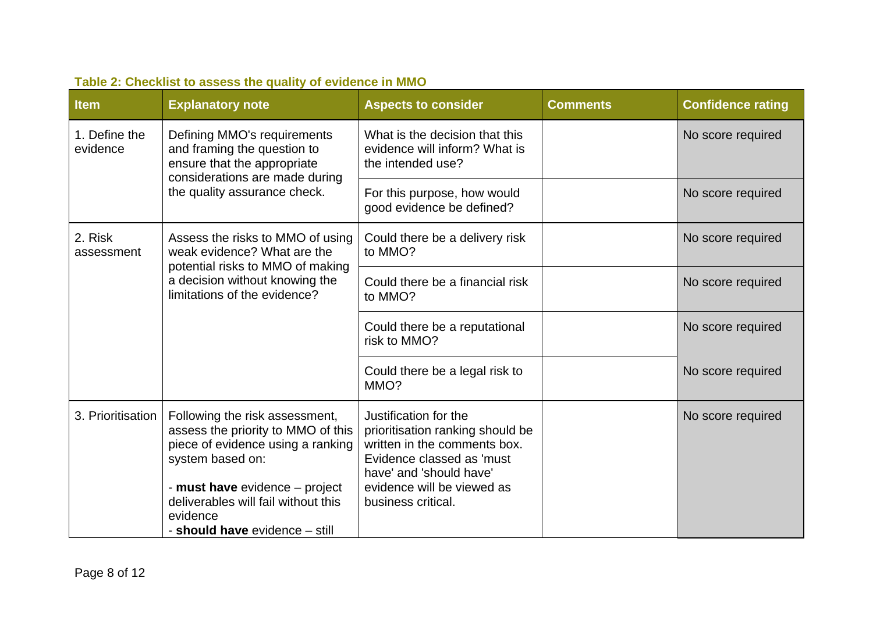<span id="page-7-0"></span>

| <b>Item</b>               | <b>Explanatory note</b>                                                                                                                                                                                                                              | <b>Aspects to consider</b>                                                                                                                                                                            | <b>Comments</b> | <b>Confidence rating</b> |
|---------------------------|------------------------------------------------------------------------------------------------------------------------------------------------------------------------------------------------------------------------------------------------------|-------------------------------------------------------------------------------------------------------------------------------------------------------------------------------------------------------|-----------------|--------------------------|
| 1. Define the<br>evidence | Defining MMO's requirements<br>and framing the question to<br>ensure that the appropriate<br>considerations are made during<br>the quality assurance check.                                                                                          | What is the decision that this<br>evidence will inform? What is<br>the intended use?                                                                                                                  |                 | No score required        |
|                           |                                                                                                                                                                                                                                                      | For this purpose, how would<br>good evidence be defined?                                                                                                                                              |                 | No score required        |
| 2. Risk<br>assessment     | Assess the risks to MMO of using<br>weak evidence? What are the<br>potential risks to MMO of making<br>a decision without knowing the<br>limitations of the evidence?                                                                                | Could there be a delivery risk<br>to MMO?                                                                                                                                                             |                 | No score required        |
|                           |                                                                                                                                                                                                                                                      | Could there be a financial risk<br>to MMO?                                                                                                                                                            |                 | No score required        |
|                           |                                                                                                                                                                                                                                                      | Could there be a reputational<br>risk to MMO?                                                                                                                                                         |                 | No score required        |
|                           |                                                                                                                                                                                                                                                      | Could there be a legal risk to<br>MMO?                                                                                                                                                                |                 | No score required        |
| 3. Prioritisation         | Following the risk assessment,<br>assess the priority to MMO of this<br>piece of evidence using a ranking<br>system based on:<br>- must have evidence - project<br>deliverables will fail without this<br>evidence<br>- should have evidence - still | Justification for the<br>prioritisation ranking should be<br>written in the comments box.<br>Evidence classed as 'must<br>have' and 'should have'<br>evidence will be viewed as<br>business critical. |                 | No score required        |

## **Table 2: Checklist to assess the quality of evidence in MMO**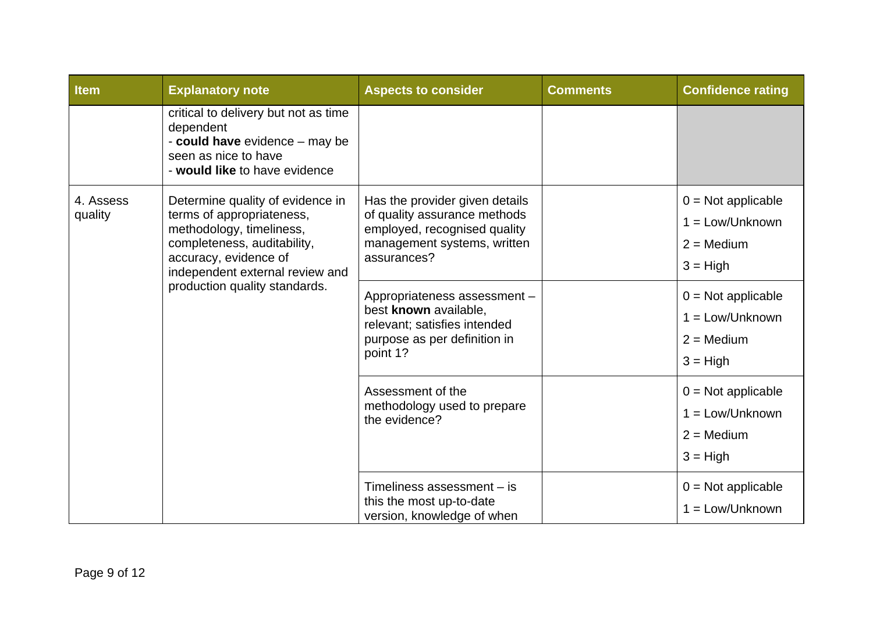| <b>Item</b>          | <b>Explanatory note</b>                                                                                                                                                              | <b>Aspects to consider</b>                                                                                                                   | <b>Comments</b> | <b>Confidence rating</b>                                                       |
|----------------------|--------------------------------------------------------------------------------------------------------------------------------------------------------------------------------------|----------------------------------------------------------------------------------------------------------------------------------------------|-----------------|--------------------------------------------------------------------------------|
|                      | critical to delivery but not as time<br>dependent<br>- could have evidence - may be<br>seen as nice to have<br>- would like to have evidence                                         |                                                                                                                                              |                 |                                                                                |
| 4. Assess<br>quality | Determine quality of evidence in<br>terms of appropriateness,<br>methodology, timeliness,<br>completeness, auditability,<br>accuracy, evidence of<br>independent external review and | Has the provider given details<br>of quality assurance methods<br>employed, recognised quality<br>management systems, written<br>assurances? |                 | $0 = Not applicable$<br>$1 = Low/Unknown$<br>$2 = \text{Median}$<br>$3 = High$ |
|                      | production quality standards.                                                                                                                                                        | Appropriateness assessment -<br>best known available,<br>relevant; satisfies intended<br>purpose as per definition in<br>point 1?            |                 | $0 = Not applicable$<br>$1 = Low/Unknown$<br>$2 = \text{Median}$<br>$3 = High$ |
|                      |                                                                                                                                                                                      | Assessment of the<br>methodology used to prepare<br>the evidence?                                                                            |                 | $0 = Not applicable$<br>$1 = Low/Unknown$<br>$2 = \text{Median}$<br>$3 = High$ |
|                      |                                                                                                                                                                                      | Timeliness assessment - is<br>this the most up-to-date<br>version, knowledge of when                                                         |                 | $0 = Not applicable$<br>$1 = Low/Unknown$                                      |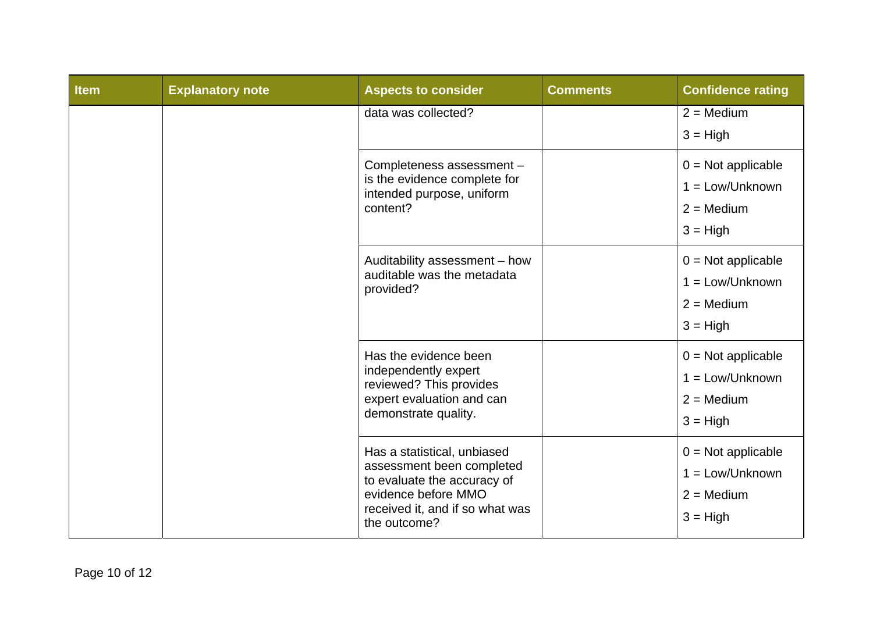| <b>Item</b> | <b>Explanatory note</b>                                                                                                                                           | <b>Aspects to consider</b> | <b>Comments</b>                                                                | <b>Confidence rating</b>          |
|-------------|-------------------------------------------------------------------------------------------------------------------------------------------------------------------|----------------------------|--------------------------------------------------------------------------------|-----------------------------------|
|             |                                                                                                                                                                   | data was collected?        |                                                                                | $2 = \text{Median}$<br>$3 = High$ |
|             | Completeness assessment -<br>is the evidence complete for<br>intended purpose, uniform<br>content?                                                                |                            | $0 = Not applicable$<br>$1 = Low/Unknown$<br>$2 = \text{Median}$<br>$3 = High$ |                                   |
|             | Auditability assessment - how<br>auditable was the metadata<br>provided?                                                                                          |                            | $0 = Not applicable$<br>$1 = Low/Unknown$<br>$2 = \text{Median}$<br>$3 = High$ |                                   |
|             | Has the evidence been<br>independently expert<br>reviewed? This provides<br>expert evaluation and can<br>demonstrate quality.                                     |                            | $0 = Not applicable$<br>$1 = Low/Unknown$<br>$2 = \text{Median}$<br>$3 = High$ |                                   |
|             | Has a statistical, unbiased<br>assessment been completed<br>to evaluate the accuracy of<br>evidence before MMO<br>received it, and if so what was<br>the outcome? |                            | $0 = Not applicable$<br>$1 = Low/Unknown$<br>$2 = \text{Median}$<br>$3 = High$ |                                   |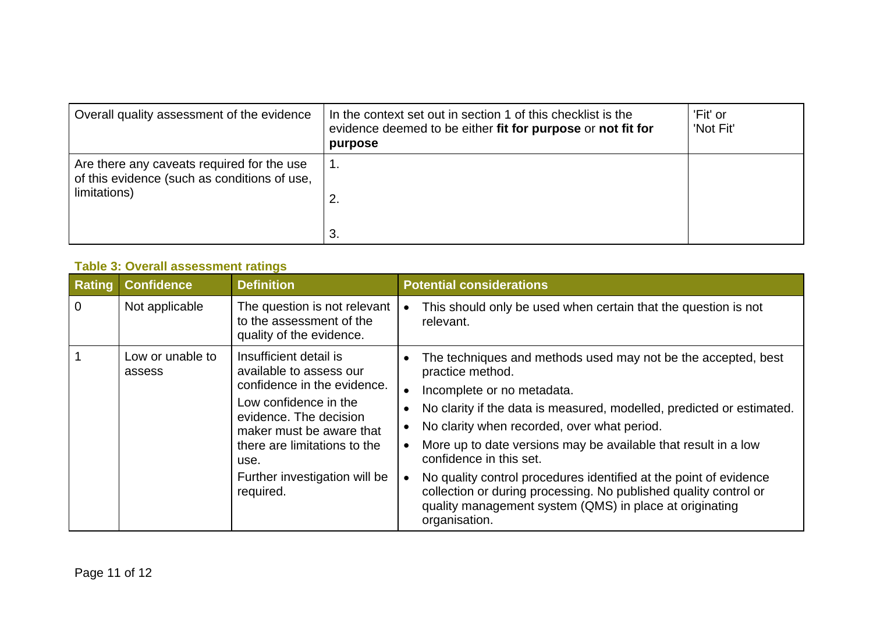| Overall quality assessment of the evidence                                                                 | In the context set out in section 1 of this checklist is the<br>evidence deemed to be either fit for purpose or not fit for<br>purpose | 'Fit' or<br>'Not Fit' |
|------------------------------------------------------------------------------------------------------------|----------------------------------------------------------------------------------------------------------------------------------------|-----------------------|
| Are there any caveats required for the use<br>of this evidence (such as conditions of use,<br>limitations) | 1.<br>2.                                                                                                                               |                       |
|                                                                                                            | 3.                                                                                                                                     |                       |

#### **Table 3: Overall assessment ratings**

<span id="page-10-0"></span>

| <b>Rating</b>  | <b>Confidence</b>          | <b>Definition</b>                                                                                                                                                                                                                                     | <b>Potential considerations</b>                                                                                                                                                                                                                                                                                                                                                                                                                                                                                                                                                                                            |
|----------------|----------------------------|-------------------------------------------------------------------------------------------------------------------------------------------------------------------------------------------------------------------------------------------------------|----------------------------------------------------------------------------------------------------------------------------------------------------------------------------------------------------------------------------------------------------------------------------------------------------------------------------------------------------------------------------------------------------------------------------------------------------------------------------------------------------------------------------------------------------------------------------------------------------------------------------|
| $\overline{0}$ | Not applicable             | The question is not relevant<br>to the assessment of the<br>quality of the evidence.                                                                                                                                                                  | This should only be used when certain that the question is not<br>$\bullet$<br>relevant.                                                                                                                                                                                                                                                                                                                                                                                                                                                                                                                                   |
|                | Low or unable to<br>assess | Insufficient detail is<br>available to assess our<br>confidence in the evidence.<br>Low confidence in the<br>evidence. The decision<br>maker must be aware that<br>there are limitations to the<br>use.<br>Further investigation will be<br>required. | The techniques and methods used may not be the accepted, best<br>practice method.<br>Incomplete or no metadata.<br>$\bullet$<br>No clarity if the data is measured, modelled, predicted or estimated.<br>$\bullet$<br>No clarity when recorded, over what period.<br>$\bullet$<br>More up to date versions may be available that result in a low<br>$\bullet$<br>confidence in this set.<br>No quality control procedures identified at the point of evidence<br>$\bullet$<br>collection or during processing. No published quality control or<br>quality management system (QMS) in place at originating<br>organisation. |